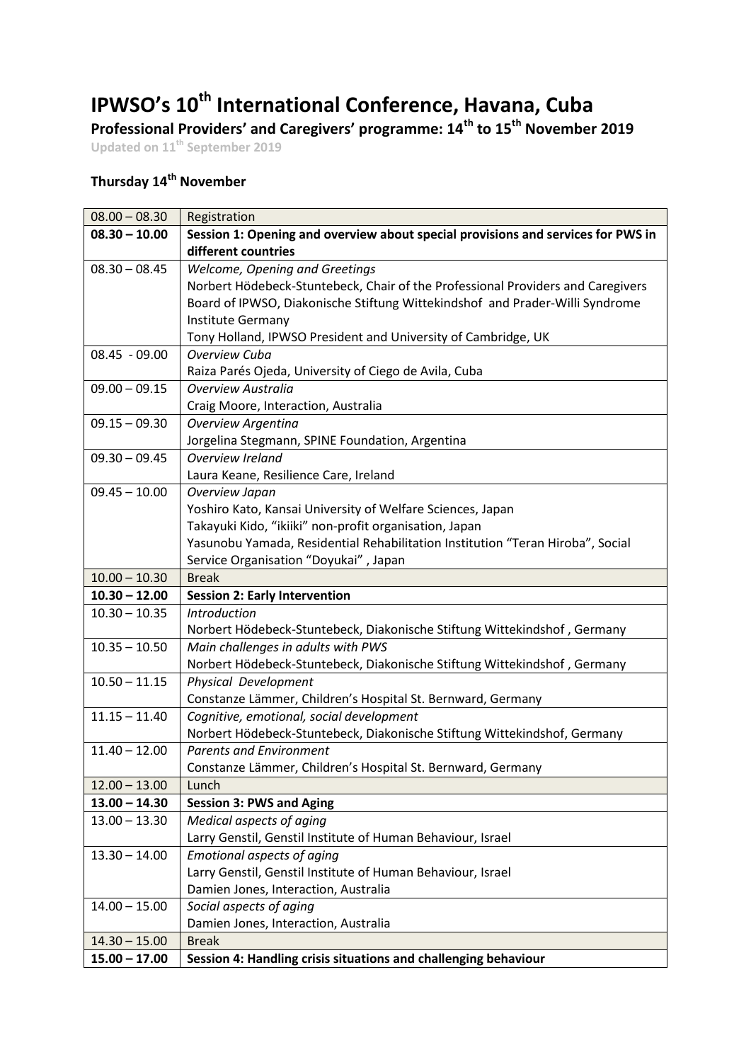## **IPWSO's 10th International Conference, Havana, Cuba**

**Professional Providers' and Caregivers' programme: 14th to 15th November 2019**

**Updated on 11th September 2019**

## **Thursday 14th November**

| $08.00 - 08.30$                    | Registration                                                                     |
|------------------------------------|----------------------------------------------------------------------------------|
| $08.30 - 10.00$                    | Session 1: Opening and overview about special provisions and services for PWS in |
|                                    | different countries                                                              |
| $08.30 - 08.45$                    | Welcome, Opening and Greetings                                                   |
|                                    | Norbert Hödebeck-Stuntebeck, Chair of the Professional Providers and Caregivers  |
|                                    | Board of IPWSO, Diakonische Stiftung Wittekindshof and Prader-Willi Syndrome     |
|                                    | Institute Germany                                                                |
|                                    | Tony Holland, IPWSO President and University of Cambridge, UK                    |
| $08.45 - 09.00$                    | Overview Cuba                                                                    |
|                                    | Raiza Parés Ojeda, University of Ciego de Avila, Cuba                            |
| $09.00 - 09.15$                    | <b>Overview Australia</b>                                                        |
|                                    | Craig Moore, Interaction, Australia                                              |
| $09.15 - 09.30$                    | Overview Argentina                                                               |
|                                    | Jorgelina Stegmann, SPINE Foundation, Argentina                                  |
| $09.30 - 09.45$                    | Overview Ireland                                                                 |
|                                    | Laura Keane, Resilience Care, Ireland                                            |
| $09.45 - 10.00$                    | Overview Japan                                                                   |
|                                    | Yoshiro Kato, Kansai University of Welfare Sciences, Japan                       |
|                                    | Takayuki Kido, "ikiiki" non-profit organisation, Japan                           |
|                                    | Yasunobu Yamada, Residential Rehabilitation Institution "Teran Hiroba", Social   |
|                                    | Service Organisation "Doyukai", Japan                                            |
| $10.00 - 10.30$                    | <b>Break</b>                                                                     |
|                                    |                                                                                  |
| $10.30 - 12.00$                    | <b>Session 2: Early Intervention</b>                                             |
| $10.30 - 10.35$                    | <b>Introduction</b>                                                              |
|                                    | Norbert Hödebeck-Stuntebeck, Diakonische Stiftung Wittekindshof, Germany         |
| $10.35 - 10.50$                    | Main challenges in adults with PWS                                               |
|                                    | Norbert Hödebeck-Stuntebeck, Diakonische Stiftung Wittekindshof, Germany         |
| $10.50 - 11.15$                    | <b>Physical Development</b>                                                      |
|                                    | Constanze Lämmer, Children's Hospital St. Bernward, Germany                      |
| $11.15 - 11.40$                    | Cognitive, emotional, social development                                         |
|                                    | Norbert Hödebeck-Stuntebeck, Diakonische Stiftung Wittekindshof, Germany         |
| $11.40 - 12.00$                    | <b>Parents and Environment</b>                                                   |
|                                    | Constanze Lämmer, Children's Hospital St. Bernward, Germany                      |
| $12.00 - 13.00$                    | Lunch                                                                            |
| $13.00 - 14.30$                    | <b>Session 3: PWS and Aging</b>                                                  |
| $13.00 - 13.30$                    | Medical aspects of aging                                                         |
|                                    | Larry Genstil, Genstil Institute of Human Behaviour, Israel                      |
| $13.30 - 14.00$                    | <b>Emotional aspects of aging</b>                                                |
|                                    | Larry Genstil, Genstil Institute of Human Behaviour, Israel                      |
|                                    | Damien Jones, Interaction, Australia                                             |
| $14.00 - 15.00$                    | Social aspects of aging                                                          |
|                                    | Damien Jones, Interaction, Australia                                             |
| $14.30 - 15.00$<br>$15.00 - 17.00$ | <b>Break</b><br>Session 4: Handling crisis situations and challenging behaviour  |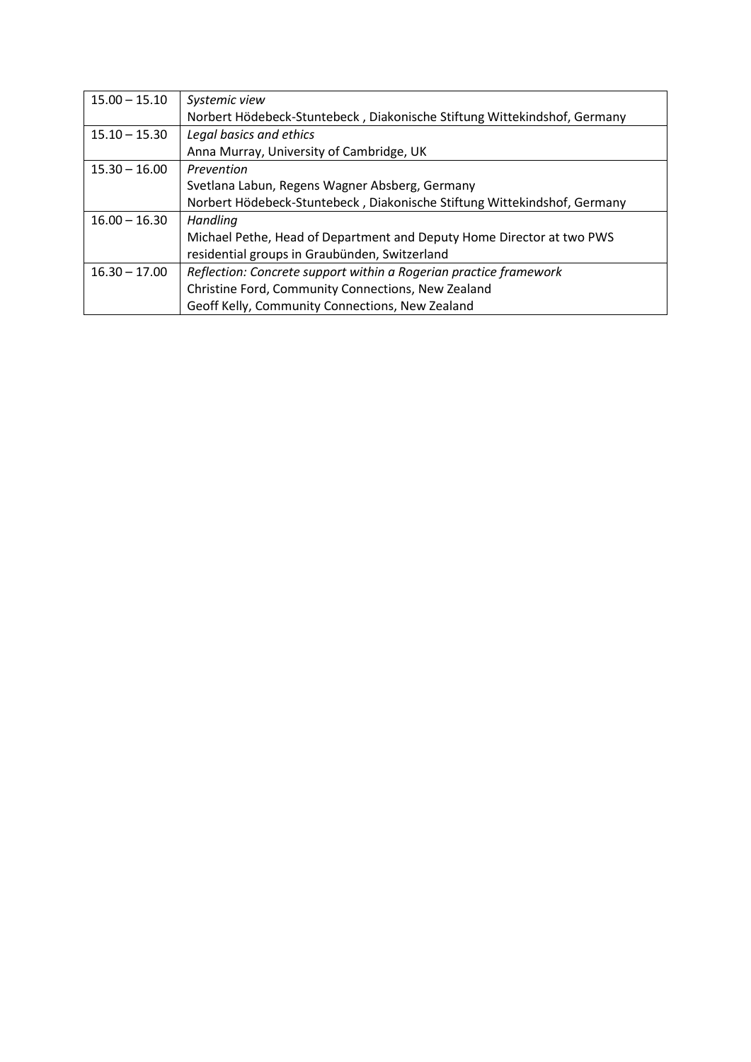| $15.00 - 15.10$ | Systemic view                                                            |
|-----------------|--------------------------------------------------------------------------|
|                 | Norbert Hödebeck-Stuntebeck, Diakonische Stiftung Wittekindshof, Germany |
| $15.10 - 15.30$ | Legal basics and ethics                                                  |
|                 | Anna Murray, University of Cambridge, UK                                 |
| $15.30 - 16.00$ | Prevention                                                               |
|                 | Svetlana Labun, Regens Wagner Absberg, Germany                           |
|                 | Norbert Hödebeck-Stuntebeck, Diakonische Stiftung Wittekindshof, Germany |
| $16.00 - 16.30$ | Handling                                                                 |
|                 | Michael Pethe, Head of Department and Deputy Home Director at two PWS    |
|                 | residential groups in Graubünden, Switzerland                            |
| $16.30 - 17.00$ | Reflection: Concrete support within a Rogerian practice framework        |
|                 | Christine Ford, Community Connections, New Zealand                       |
|                 | Geoff Kelly, Community Connections, New Zealand                          |